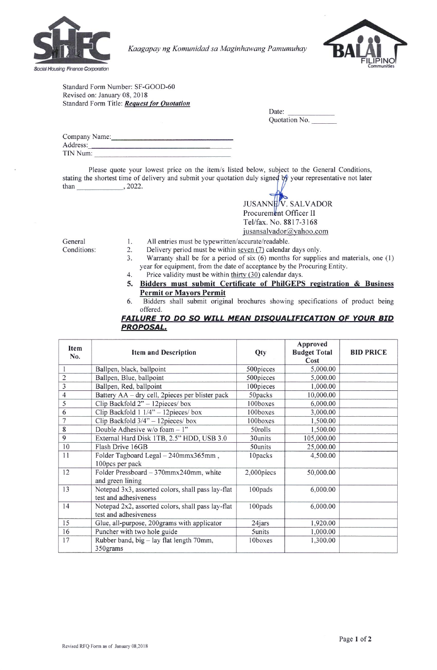

Kaagapay ng Komunidad sa Maginhawang Pamumuhay



Standard Form Number: SF-GOOD-60 Revised on: January 08, 2018 Standard Form Title: Request for Quotation

| Date:         |  |
|---------------|--|
| Quotation No. |  |

| Company Name: |  |
|---------------|--|
| Address:      |  |
| TIN Num:      |  |

Please quote your lowest price on the item/s listed below, subject to the General Conditions, stati ng the shortest time of delivery and submit your quotati ve not later on duly signe{ [! your representati t/ YL than  $\overline{\phantom{2022}}$ , 2022.

| <b>JUSANNEV.</b> SALVADOR |
|---------------------------|
| Procurement Officer II    |
| Tel/fax. No. 8817-3168    |
| jusansalvador@yahoo.com   |

General

- 1. All entries must be typewritten/accurate/readable.<br>2. Delivery period must be within <u>seven (7</u>) calendar
- Conditions:
- 
- 2. Delivery period must be within seven (7) calendar days only.<br>3. Warranty shall be for a period of six (6) months for supplic Warranty shall be for a period of six  $(6)$  months for supplies and materials, one  $(1)$ year for equipment, from the date of acceptance by the Procuring Entity.
- 4. Price validity must be within thirty (30) calendar days. 5. Bidders must submit Certificate of PhiIGEPS registration & Business Permit or Mavors Permit
- 6. Bidders shall submit original brochures showing specifications of product being offered.

## FAILURE TO DO SO WILL MEAN DISOUALIFICATION OF YOUR BID PROPOSAL,

| Item<br>No.    | <b>Item and Description</b>                                                | Qty        | Approved<br><b>Budget Total</b><br>Cost | <b>BID PRICE</b> |
|----------------|----------------------------------------------------------------------------|------------|-----------------------------------------|------------------|
|                | Ballpen, black, ballpoint                                                  | 500pieces  | 5,000.00                                |                  |
| $\overline{c}$ | Ballpen, Blue, ballpoint                                                   | 500pieces  | 5,000.00                                |                  |
| $\overline{3}$ | Ballpen, Red, ballpoint                                                    | 100pieces  | 1,000.00                                |                  |
| 4              | Battery AA - dry cell, 2pieces per blister pack                            | 50packs    | 10,000.00                               |                  |
| 5              | Clip Backfold $2" - 12$ pieces/box                                         | 100boxes   | 6,000.00                                |                  |
| 6              | Clip Backfold 1 1/4" - 12pieces/ box                                       | 100boxes   | 3,000.00                                |                  |
| 7              | Clip Backfold 3/4" - 12pieces/ box                                         | 100boxes   | 1,500.00                                |                  |
| 8              | Double Adhesive $w/o$ foam $-1$ "                                          | 50rolls    | 1,500.00                                |                  |
| 9              | External Hard Disk 1TB, 2.5" HDD, USB 3.0                                  | 30units    | 105,000.00                              |                  |
| 10             | Flash Drive 16GB                                                           | 50units    | 25,000.00                               |                  |
| 11             | Folder Tagboard Legal - 240mmx365mm,<br>100pcs per pack                    | 10packs    | 4,500.00                                |                  |
| 12             | Folder Pressboard - 370mmx240mm, white<br>and green lining                 | 2,000piecs | 50,000.00                               |                  |
| 13             | Notepad 3x3, assorted colors, shall pass lay-flat<br>test and adhesiveness | 100pads    | 6,000.00                                |                  |
| 14             | Notepad 2x2, assorted colors, shall pass lay-flat<br>test and adhesiveness | 100pads    | 6,000.00                                |                  |
| 15             | Glue, all-purpose, 200grams with applicator                                | 24jars     | 1,920.00                                |                  |
| 16             | Puncher with two hole guide                                                | 5units     | 1,000.00                                |                  |
| 17             | Rubber band, big - lay flat length 70mm,<br>350grams                       | 10boxes    | 1,300.00                                |                  |